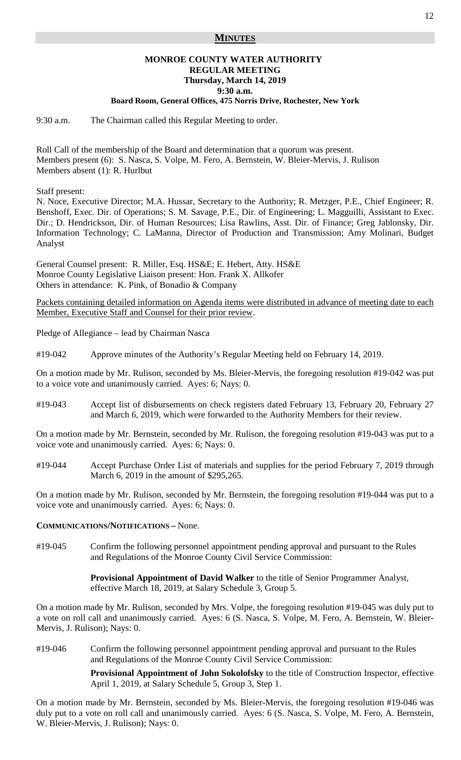## **MINUTES**

# **MONROE COUNTY WATER AUTHORITY REGULAR MEETING Thursday, March 14, 2019 9:30 a.m.**

#### **Board Room, General Offices, 475 Norris Drive, Rochester, New York**

9:30 a.m. The Chairman called this Regular Meeting to order.

Roll Call of the membership of the Board and determination that a quorum was present. Members present (6): S. Nasca, S. Volpe, M. Fero, A. Bernstein, W. Bleier-Mervis, J. Rulison Members absent (1): R. Hurlbut

Staff present:

N. Noce, Executive Director; M.A. Hussar, Secretary to the Authority; R. Metzger, P.E., Chief Engineer; R. Benshoff, Exec. Dir. of Operations; S. M. Savage, P.E., Dir. of Engineering; L. Magguilli, Assistant to Exec. Dir.; D. Hendrickson, Dir. of Human Resources; Lisa Rawlins, Asst. Dir. of Finance; Greg Jablonsky, Dir. Information Technology; C. LaManna, Director of Production and Transmission; Amy Molinari, Budget Analyst

General Counsel present: R. Miller, Esq. HS&E; E. Hebert, Atty. HS&E Monroe County Legislative Liaison present: Hon. Frank X. Allkofer Others in attendance: K. Pink, of Bonadio & Company

Packets containing detailed information on Agenda items were distributed in advance of meeting date to each Member, Executive Staff and Counsel for their prior review.

Pledge of Allegiance – lead by Chairman Nasca

#19-042 Approve minutes of the Authority's Regular Meeting held on February 14, 2019.

On a motion made by Mr. Rulison, seconded by Ms. Bleier-Mervis, the foregoing resolution #19-042 was put to a voice vote and unanimously carried. Ayes: 6; Nays: 0.

#19-043 Accept list of disbursements on check registers dated February 13, February 20, February 27 and March 6, 2019, which were forwarded to the Authority Members for their review.

On a motion made by Mr. Bernstein, seconded by Mr. Rulison, the foregoing resolution #19-043 was put to a voice vote and unanimously carried. Ayes: 6; Nays: 0.

#19-044 Accept Purchase Order List of materials and supplies for the period February 7, 2019 through March 6, 2019 in the amount of \$295,265.

On a motion made by Mr. Rulison, seconded by Mr. Bernstein, the foregoing resolution #19-044 was put to a voice vote and unanimously carried. Ayes: 6; Nays: 0.

#### **COMMUNICATIONS/NOTIFICATIONS –** None.

#19-045 Confirm the following personnel appointment pending approval and pursuant to the Rules and Regulations of the Monroe County Civil Service Commission:

> **Provisional Appointment of David Walker** to the title of Senior Programmer Analyst, effective March 18, 2019, at Salary Schedule 3, Group 5.

On a motion made by Mr. Rulison, seconded by Mrs. Volpe, the foregoing resolution #19-045 was duly put to a vote on roll call and unanimously carried. Ayes: 6 (S. Nasca, S. Volpe, M. Fero, A. Bernstein, W. Bleier-Mervis, J. Rulison); Nays: 0.

#19-046 Confirm the following personnel appointment pending approval and pursuant to the Rules and Regulations of the Monroe County Civil Service Commission:

> **Provisional Appointment of John Sokolofsky** to the title of Construction Inspector, effective April 1, 2019, at Salary Schedule 5, Group 3, Step 1.

On a motion made by Mr. Bernstein, seconded by Ms. Bleier-Mervis, the foregoing resolution #19-046 was duly put to a vote on roll call and unanimously carried. Ayes: 6 (S. Nasca, S. Volpe, M. Fero, A. Bernstein, W. Bleier-Mervis, J. Rulison); Nays: 0.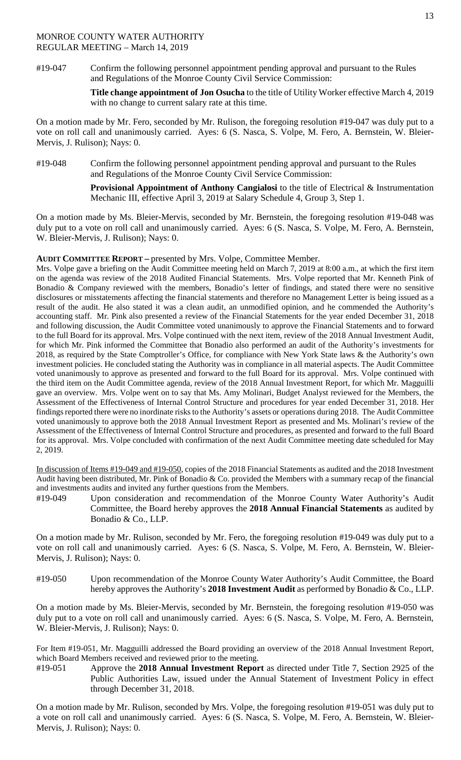#19-047 Confirm the following personnel appointment pending approval and pursuant to the Rules and Regulations of the Monroe County Civil Service Commission:

> **Title change appointment of Jon Osucha** to the title of Utility Worker effective March 4, 2019 with no change to current salary rate at this time.

On a motion made by Mr. Fero, seconded by Mr. Rulison, the foregoing resolution #19-047 was duly put to a vote on roll call and unanimously carried. Ayes: 6 (S. Nasca, S. Volpe, M. Fero, A. Bernstein, W. Bleier-Mervis, J. Rulison); Nays: 0.

#19-048 Confirm the following personnel appointment pending approval and pursuant to the Rules and Regulations of the Monroe County Civil Service Commission:

> **Provisional Appointment of Anthony Cangialosi** to the title of Electrical & Instrumentation Mechanic III, effective April 3, 2019 at Salary Schedule 4, Group 3, Step 1.

On a motion made by Ms. Bleier-Mervis, seconded by Mr. Bernstein, the foregoing resolution #19-048 was duly put to a vote on roll call and unanimously carried. Ayes: 6 (S. Nasca, S. Volpe, M. Fero, A. Bernstein, W. Bleier-Mervis, J. Rulison); Nays: 0.

## **AUDIT COMMITTEE REPORT –** presented by Mrs. Volpe, Committee Member.

Mrs. Volpe gave a briefing on the Audit Committee meeting held on March 7, 2019 at 8:00 a.m., at which the first item on the agenda was review of the 2018 Audited Financial Statements. Mrs. Volpe reported that Mr. Kenneth Pink of Bonadio & Company reviewed with the members, Bonadio's letter of findings, and stated there were no sensitive disclosures or misstatements affecting the financial statements and therefore no Management Letter is being issued as a result of the audit. He also stated it was a clean audit, an unmodified opinion, and he commended the Authority's accounting staff. Mr. Pink also presented a review of the Financial Statements for the year ended December 31, 2018 and following discussion, the Audit Committee voted unanimously to approve the Financial Statements and to forward to the full Board for its approval. Mrs. Volpe continued with the next item, review of the 2018 Annual Investment Audit, for which Mr. Pink informed the Committee that Bonadio also performed an audit of the Authority's investments for 2018, as required by the State Comptroller's Office, for compliance with New York State laws & the Authority's own investment policies. He concluded stating the Authority was in compliance in all material aspects. The Audit Committee voted unanimously to approve as presented and forward to the full Board for its approval. Mrs. Volpe continued with the third item on the Audit Committee agenda, review of the 2018 Annual Investment Report, for which Mr. Magguilli gave an overview. Mrs. Volpe went on to say that Ms. Amy Molinari, Budget Analyst reviewed for the Members, the Assessment of the Effectiveness of Internal Control Structure and procedures for year ended December 31, 2018. Her findings reported there were no inordinate risks to the Authority's assets or operations during 2018. The Audit Committee voted unanimously to approve both the 2018 Annual Investment Report as presented and Ms. Molinari's review of the Assessment of the Effectiveness of Internal Control Structure and procedures, as presented and forward to the full Board for its approval. Mrs. Volpe concluded with confirmation of the next Audit Committee meeting date scheduled for May 2, 2019.

In discussion of Items #19-049 and #19-050, copies of the 2018 Financial Statements as audited and the 2018 Investment Audit having been distributed, Mr. Pink of Bonadio & Co. provided the Members with a summary recap of the financial and investments audits and invited any further questions from the Members.

#19-049 Upon consideration and recommendation of the Monroe County Water Authority's Audit Committee, the Board hereby approves the **2018 Annual Financial Statements** as audited by Bonadio & Co., LLP.

On a motion made by Mr. Rulison, seconded by Mr. Fero, the foregoing resolution #19-049 was duly put to a vote on roll call and unanimously carried. Ayes: 6 (S. Nasca, S. Volpe, M. Fero, A. Bernstein, W. Bleier-Mervis, J. Rulison); Nays: 0.

#19-050 Upon recommendation of the Monroe County Water Authority's Audit Committee, the Board hereby approves the Authority's **2018 Investment Audit** as performed by Bonadio & Co., LLP.

On a motion made by Ms. Bleier-Mervis, seconded by Mr. Bernstein, the foregoing resolution #19-050 was duly put to a vote on roll call and unanimously carried. Ayes: 6 (S. Nasca, S. Volpe, M. Fero, A. Bernstein, W. Bleier-Mervis, J. Rulison); Nays: 0.

For Item #19-051, Mr. Magguilli addressed the Board providing an overview of the 2018 Annual Investment Report, which Board Members received and reviewed prior to the meeting.

#19-051 Approve the **2018 Annual Investment Report** as directed under Title 7, Section 2925 of the Public Authorities Law, issued under the Annual Statement of Investment Policy in effect through December 31, 2018.

On a motion made by Mr. Rulison, seconded by Mrs. Volpe, the foregoing resolution #19-051 was duly put to a vote on roll call and unanimously carried. Ayes: 6 (S. Nasca, S. Volpe, M. Fero, A. Bernstein, W. Bleier-Mervis, J. Rulison); Nays: 0.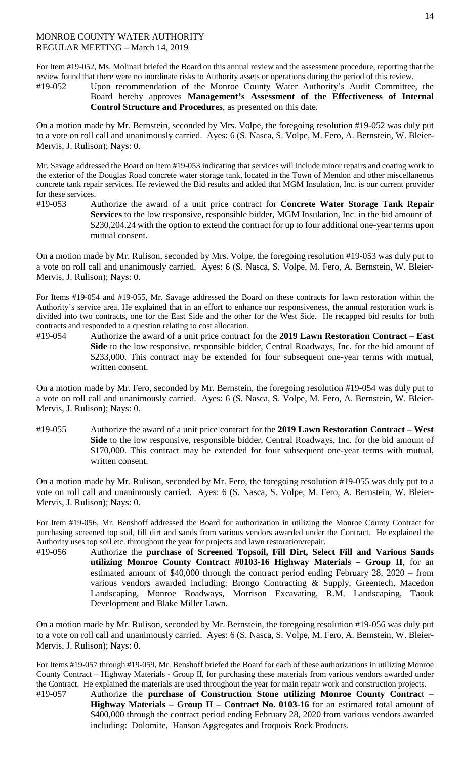For Item #19-052, Ms. Molinari briefed the Board on this annual review and the assessment procedure, reporting that the review found that there were no inordinate risks to Authority assets or operations during the period of this review.

#19-052 Upon recommendation of the Monroe County Water Authority's Audit Committee, the Board hereby approves **Management's Assessment of the Effectiveness of Internal Control Structure and Procedures**, as presented on this date.

On a motion made by Mr. Bernstein, seconded by Mrs. Volpe, the foregoing resolution #19-052 was duly put to a vote on roll call and unanimously carried. Ayes: 6 (S. Nasca, S. Volpe, M. Fero, A. Bernstein, W. Bleier-Mervis, J. Rulison); Nays: 0.

Mr. Savage addressed the Board on Item #19-053 indicating that services will include minor repairs and coating work to the exterior of the Douglas Road concrete water storage tank, located in the Town of Mendon and other miscellaneous concrete tank repair services. He reviewed the Bid results and added that MGM Insulation, Inc. is our current provider for these services.

#19-053 Authorize the award of a unit price contract for **Concrete Water Storage Tank Repair Services** to the low responsive, responsible bidder, MGM Insulation, Inc. in the bid amount of \$230,204.24 with the option to extend the contract for up to four additional one-year terms upon mutual consent.

On a motion made by Mr. Rulison, seconded by Mrs. Volpe, the foregoing resolution #19-053 was duly put to a vote on roll call and unanimously carried. Ayes: 6 (S. Nasca, S. Volpe, M. Fero, A. Bernstein, W. Bleier-Mervis, J. Rulison); Nays: 0.

For Items #19-054 and #19-055, Mr. Savage addressed the Board on these contracts for lawn restoration within the Authority's service area. He explained that in an effort to enhance our responsiveness, the annual restoration work is divided into two contracts, one for the East Side and the other for the West Side. He recapped bid results for both contracts and responded to a question relating to cost allocation.

#19-054 Authorize the award of a unit price contract for the **2019 Lawn Restoration Contract** – **East Side** to the low responsive, responsible bidder, Central Roadways, Inc. for the bid amount of \$233,000. This contract may be extended for four subsequent one-year terms with mutual, written consent.

On a motion made by Mr. Fero, seconded by Mr. Bernstein, the foregoing resolution #19-054 was duly put to a vote on roll call and unanimously carried. Ayes: 6 (S. Nasca, S. Volpe, M. Fero, A. Bernstein, W. Bleier-Mervis, J. Rulison); Nays: 0.

#19-055 Authorize the award of a unit price contract for the **2019 Lawn Restoration Contract – West Side** to the low responsive, responsible bidder, Central Roadways, Inc. for the bid amount of \$170,000. This contract may be extended for four subsequent one-year terms with mutual, written consent.

On a motion made by Mr. Rulison, seconded by Mr. Fero, the foregoing resolution #19-055 was duly put to a vote on roll call and unanimously carried. Ayes: 6 (S. Nasca, S. Volpe, M. Fero, A. Bernstein, W. Bleier-Mervis, J. Rulison); Nays: 0.

For Item #19-056, Mr. Benshoff addressed the Board for authorization in utilizing the Monroe County Contract for purchasing screened top soil, fill dirt and sands from various vendors awarded under the Contract. He explained the Authority uses top soil etc. throughout the year for projects and lawn restoration/repair.

#19-056 Authorize the **purchase of Screened Topsoil, Fill Dirt, Select Fill and Various Sands utilizing Monroe County Contrac**t **#0103-16 Highway Materials – Group II**, for an estimated amount of \$40,000 through the contract period ending February 28, 2020 – from various vendors awarded including: Brongo Contracting & Supply, Greentech, Macedon Landscaping, Monroe Roadways, Morrison Excavating, R.M. Landscaping, Taouk Development and Blake Miller Lawn.

On a motion made by Mr. Rulison, seconded by Mr. Bernstein, the foregoing resolution #19-056 was duly put to a vote on roll call and unanimously carried. Ayes: 6 (S. Nasca, S. Volpe, M. Fero, A. Bernstein, W. Bleier-Mervis, J. Rulison); Nays: 0.

For Items #19-057 through #19-059, Mr. Benshoff briefed the Board for each of these authorizations in utilizing Monroe County Contract – Highway Materials - Group II, for purchasing these materials from various vendors awarded under the Contract. He explained the materials are used throughout the year for main repair work and construction projects.

#19-057 Authorize the **purchase of Construction Stone utilizing Monroe County Contrac**t – **Highway Materials – Group II – Contract No. 0103-16** for an estimated total amount of \$400,000 through the contract period ending February 28, 2020 from various vendors awarded including: Dolomite, Hanson Aggregates and Iroquois Rock Products.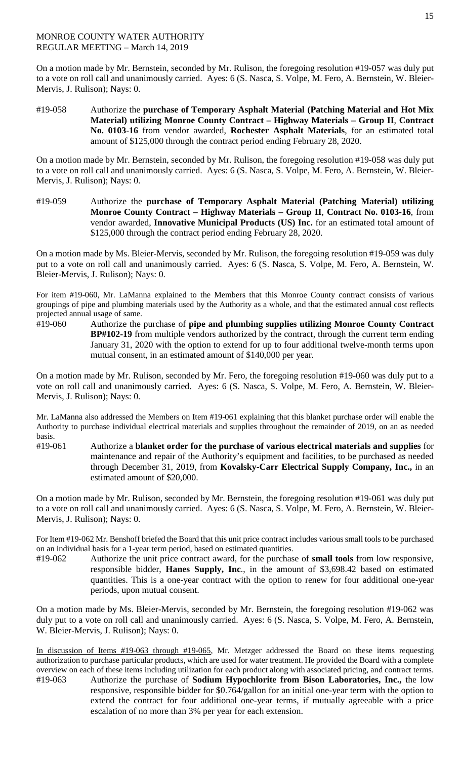On a motion made by Mr. Bernstein, seconded by Mr. Rulison, the foregoing resolution #19-057 was duly put to a vote on roll call and unanimously carried. Ayes: 6 (S. Nasca, S. Volpe, M. Fero, A. Bernstein, W. Bleier-Mervis, J. Rulison); Nays: 0.

#19-058 Authorize the **purchase of Temporary Asphalt Material (Patching Material and Hot Mix Material) utilizing Monroe County Contract – Highway Materials – Group II**, **Contract No. 0103-16** from vendor awarded, **Rochester Asphalt Materials**, for an estimated total amount of \$125,000 through the contract period ending February 28, 2020.

On a motion made by Mr. Bernstein, seconded by Mr. Rulison, the foregoing resolution #19-058 was duly put to a vote on roll call and unanimously carried. Ayes: 6 (S. Nasca, S. Volpe, M. Fero, A. Bernstein, W. Bleier-Mervis, J. Rulison); Nays: 0.

#19-059 Authorize the **purchase of Temporary Asphalt Material (Patching Material) utilizing Monroe County Contract – Highway Materials – Group II**, **Contract No. 0103-16**, from vendor awarded, **Innovative Municipal Products (US) Inc.** for an estimated total amount of \$125,000 through the contract period ending February 28, 2020.

On a motion made by Ms. Bleier-Mervis, seconded by Mr. Rulison, the foregoing resolution #19-059 was duly put to a vote on roll call and unanimously carried. Ayes: 6 (S. Nasca, S. Volpe, M. Fero, A. Bernstein, W. Bleier-Mervis, J. Rulison); Nays: 0.

For item #19-060, Mr. LaManna explained to the Members that this Monroe County contract consists of various groupings of pipe and plumbing materials used by the Authority as a whole, and that the estimated annual cost reflects projected annual usage of same.

#19-060 Authorize the purchase of **pipe and plumbing supplies utilizing Monroe County Contract BP#102-19** from multiple vendors authorized by the contract, through the current term ending January 31, 2020 with the option to extend for up to four additional twelve-month terms upon mutual consent, in an estimated amount of \$140,000 per year.

On a motion made by Mr. Rulison, seconded by Mr. Fero, the foregoing resolution #19-060 was duly put to a vote on roll call and unanimously carried. Ayes: 6 (S. Nasca, S. Volpe, M. Fero, A. Bernstein, W. Bleier-Mervis, J. Rulison); Nays: 0.

Mr. LaManna also addressed the Members on Item #19-061 explaining that this blanket purchase order will enable the Authority to purchase individual electrical materials and supplies throughout the remainder of 2019, on an as needed basis.

#19-061 Authorize a **blanket order for the purchase of various electrical materials and supplies** for maintenance and repair of the Authority's equipment and facilities, to be purchased as needed through December 31, 2019, from **Kovalsky-Carr Electrical Supply Company, Inc.,** in an estimated amount of \$20,000.

On a motion made by Mr. Rulison, seconded by Mr. Bernstein, the foregoing resolution #19-061 was duly put to a vote on roll call and unanimously carried. Ayes: 6 (S. Nasca, S. Volpe, M. Fero, A. Bernstein, W. Bleier-Mervis, J. Rulison); Nays: 0.

For Item #19-062 Mr. Benshoff briefed the Board that this unit price contract includes various small tools to be purchased on an individual basis for a 1-year term period, based on estimated quantities.

#19-062 Authorize the unit price contract award, for the purchase of **small tools** from low responsive, responsible bidder, **Hanes Supply, Inc**., in the amount of \$3,698.42 based on estimated quantities. This is a one-year contract with the option to renew for four additional one-year periods, upon mutual consent.

On a motion made by Ms. Bleier-Mervis, seconded by Mr. Bernstein, the foregoing resolution #19-062 was duly put to a vote on roll call and unanimously carried. Ayes: 6 (S. Nasca, S. Volpe, M. Fero, A. Bernstein, W. Bleier-Mervis, J. Rulison); Nays: 0.

In discussion of Items #19-063 through #19-065, Mr. Metzger addressed the Board on these items requesting authorization to purchase particular products, which are used for water treatment. He provided the Board with a complete overview on each of these items including utilization for each product along with associated pricing, and contract terms.<br>
#19-063 Authorize the purchase of **Sodium Hypochlorite from Bison Laboratories. Inc.** the low Authorize the purchase of **Sodium Hypochlorite from Bison Laboratories, Inc.,** the low responsive, responsible bidder for \$0.764/gallon for an initial one-year term with the option to extend the contract for four additional one-year terms, if mutually agreeable with a price escalation of no more than 3% per year for each extension.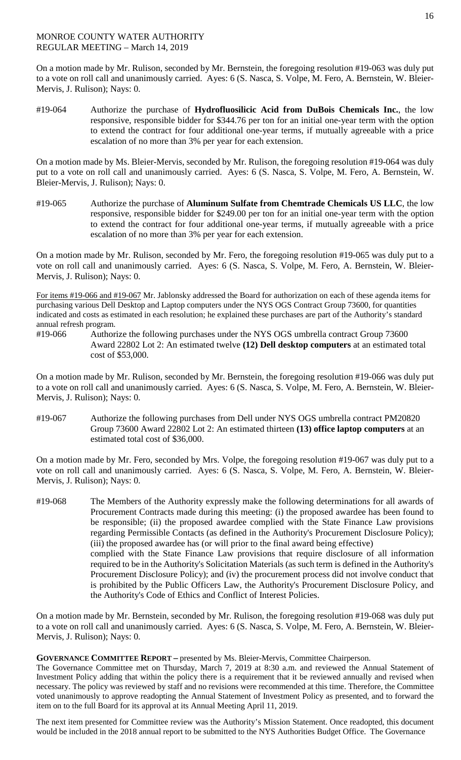On a motion made by Mr. Rulison, seconded by Mr. Bernstein, the foregoing resolution #19-063 was duly put to a vote on roll call and unanimously carried. Ayes: 6 (S. Nasca, S. Volpe, M. Fero, A. Bernstein, W. Bleier-Mervis, J. Rulison); Nays: 0.

#19-064 Authorize the purchase of **Hydrofluosilicic Acid from DuBois Chemicals Inc.**, the low responsive, responsible bidder for \$344.76 per ton for an initial one-year term with the option to extend the contract for four additional one-year terms, if mutually agreeable with a price escalation of no more than 3% per year for each extension.

On a motion made by Ms. Bleier-Mervis, seconded by Mr. Rulison, the foregoing resolution #19-064 was duly put to a vote on roll call and unanimously carried. Ayes: 6 (S. Nasca, S. Volpe, M. Fero, A. Bernstein, W. Bleier-Mervis, J. Rulison); Nays: 0.

#19-065 Authorize the purchase of **Aluminum Sulfate from Chemtrade Chemicals US LLC**, the low responsive, responsible bidder for \$249.00 per ton for an initial one-year term with the option to extend the contract for four additional one-year terms, if mutually agreeable with a price escalation of no more than 3% per year for each extension.

On a motion made by Mr. Rulison, seconded by Mr. Fero, the foregoing resolution #19-065 was duly put to a vote on roll call and unanimously carried. Ayes: 6 (S. Nasca, S. Volpe, M. Fero, A. Bernstein, W. Bleier-Mervis, J. Rulison); Nays: 0.

For items #19-066 and #19-067 Mr. Jablonsky addressed the Board for authorization on each of these agenda items for purchasing various Dell Desktop and Laptop computers under the NYS OGS Contract Group 73600, for quantities indicated and costs as estimated in each resolution; he explained these purchases are part of the Authority's standard annual refresh program.

#19-066 Authorize the following purchases under the NYS OGS umbrella contract Group 73600 Award 22802 Lot 2: An estimated twelve **(12) Dell desktop computers** at an estimated total cost of \$53,000.

On a motion made by Mr. Rulison, seconded by Mr. Bernstein, the foregoing resolution #19-066 was duly put to a vote on roll call and unanimously carried. Ayes: 6 (S. Nasca, S. Volpe, M. Fero, A. Bernstein, W. Bleier-Mervis, J. Rulison); Nays: 0.

#19-067 Authorize the following purchases from Dell under NYS OGS umbrella contract PM20820 Group 73600 Award 22802 Lot 2: An estimated thirteen **(13) office laptop computers** at an estimated total cost of \$36,000.

On a motion made by Mr. Fero, seconded by Mrs. Volpe, the foregoing resolution #19-067 was duly put to a vote on roll call and unanimously carried. Ayes: 6 (S. Nasca, S. Volpe, M. Fero, A. Bernstein, W. Bleier-Mervis, J. Rulison); Nays: 0.

#19-068 The Members of the Authority expressly make the following determinations for all awards of Procurement Contracts made during this meeting: (i) the proposed awardee has been found to be responsible; (ii) the proposed awardee complied with the State Finance Law provisions regarding Permissible Contacts (as defined in the Authority's Procurement Disclosure Policy); (iii) the proposed awardee has (or will prior to the final award being effective) complied with the State Finance Law provisions that require disclosure of all information required to be in the Authority's Solicitation Materials (as such term is defined in the Authority's Procurement Disclosure Policy); and (iv) the procurement process did not involve conduct that is prohibited by the Public Officers Law, the Authority's Procurement Disclosure Policy, and the Authority's Code of Ethics and Conflict of Interest Policies.

On a motion made by Mr. Bernstein, seconded by Mr. Rulison, the foregoing resolution #19-068 was duly put to a vote on roll call and unanimously carried. Ayes: 6 (S. Nasca, S. Volpe, M. Fero, A. Bernstein, W. Bleier-Mervis, J. Rulison); Nays: 0.

## **GOVERNANCE COMMITTEE REPORT –** presented by Ms. Bleier-Mervis, Committee Chairperson.

The Governance Committee met on Thursday, March 7, 2019 at 8:30 a.m. and reviewed the Annual Statement of Investment Policy adding that within the policy there is a requirement that it be reviewed annually and revised when necessary. The policy was reviewed by staff and no revisions were recommended at this time. Therefore, the Committee voted unanimously to approve readopting the Annual Statement of Investment Policy as presented, and to forward the item on to the full Board for its approval at its Annual Meeting April 11, 2019.

The next item presented for Committee review was the Authority's Mission Statement. Once readopted, this document would be included in the 2018 annual report to be submitted to the NYS Authorities Budget Office. The Governance